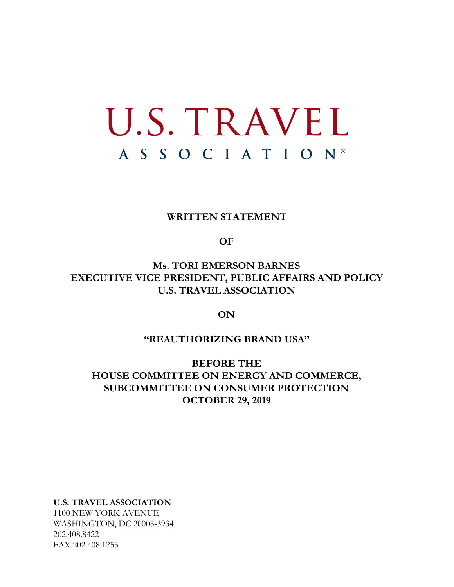# U.S. TRAVEL A S S O C I A T I O N ®

## **WRITTEN STATEMENT**

#### **OF**

## **Ms. TORI EMERSON BARNES EXECUTIVE VICE PRESIDENT, PUBLIC AFFAIRS AND POLICY U.S. TRAVEL ASSOCIATION**

## **ON**

## **"REAUTHORIZING BRAND USA"**

**BEFORE THE HOUSE COMMITTEE ON ENERGY AND COMMERCE, SUBCOMMITTEE ON CONSUMER PROTECTION OCTOBER 29, 2019**

**U.S. TRAVEL ASSOCIATION**

1100 NEW YORK AVENUE WASHINGTON, DC 20005-3934 202.408.8422 FAX 202.408.1255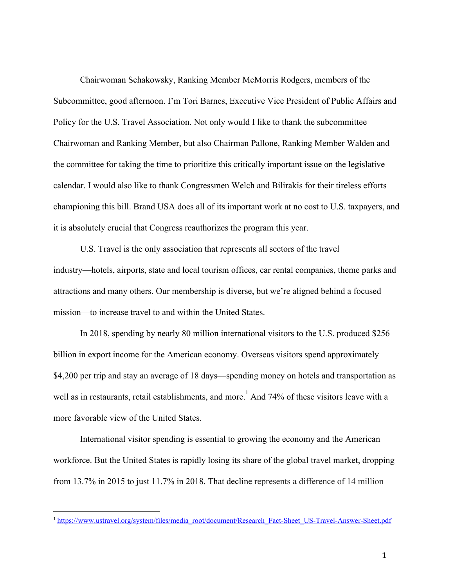Chairwoman Schakowsky, Ranking Member McMorris Rodgers, members of the Subcommittee, good afternoon. I'm Tori Barnes, Executive Vice President of Public Affairs and Policy for the U.S. Travel Association. Not only would I like to thank the subcommittee Chairwoman and Ranking Member, but also Chairman Pallone, Ranking Member Walden and the committee for taking the time to prioritize this critically important issue on the legislative calendar. I would also like to thank Congressmen Welch and Bilirakis for their tireless efforts championing this bill. Brand USA does all of its important work at no cost to U.S. taxpayers, and it is absolutely crucial that Congress reauthorizes the program this year.

U.S. Travel is the only association that represents all sectors of the travel industry—hotels, airports, state and local tourism offices, car rental companies, theme parks and attractions and many others. Our membership is diverse, but we're aligned behind a focused mission—to increase travel to and within the United States.

In 2018, spending by nearly 80 million international visitors to the U.S. produced \$256 billion in export income for the American economy. Overseas visitors spend approximately \$4,200 per trip and stay an average of 18 days—spending money on hotels and transportation as well as in restaurants, retail establishments, and more. And  $74\%$  of these visitors leave with a more favorable view of the United States.

International visitor spending is essential to growing the economy and the American workforce. But the United States is rapidly losing its share of the global travel market, dropping from 13.7% in 2015 to just 11.7% in 2018. That decline represents a difference of 14 million

<sup>&</sup>lt;sup>1</sup> [https://www.ustravel.org/system/files/media\\_root/document/Research\\_Fact-Sheet\\_US-Travel-Answer-Sheet.pdf](https://www.ustravel.org/system/files/media_root/document/Research_Fact-Sheet_US-Travel-Answer-Sheet.pdf)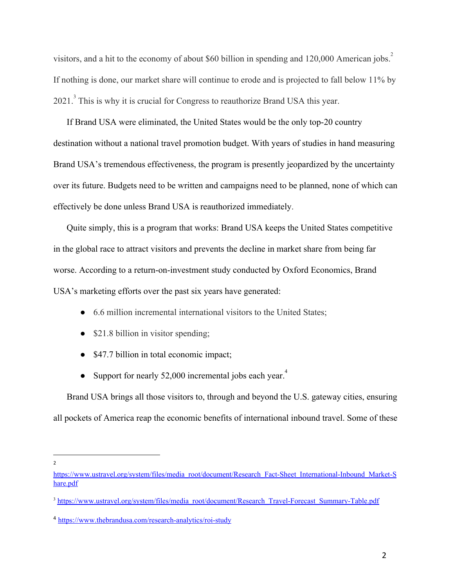visitors, and a hit to the economy of about \$60 billion in spending and 120,000 American jobs.<sup>2</sup> If nothing is done, our market share will continue to erode and is projected to fall below 11% by 2021.<sup>3</sup> This is why it is crucial for Congress to reauthorize Brand USA this year.

If Brand USA were eliminated, the United States would be the only top-20 country destination without a national travel promotion budget. With years of studies in hand measuring Brand USA's tremendous effectiveness, the program is presently jeopardized by the uncertainty over its future. Budgets need to be written and campaigns need to be planned, none of which can effectively be done unless Brand USA is reauthorized immediately.

Quite simply, this is a program that works: Brand USA keeps the United States competitive in the global race to attract visitors and prevents the decline in market share from being far worse. According to a return-on-investment study conducted by Oxford Economics, Brand USA's marketing efforts over the past six years have generated:

- 6.6 million incremental international visitors to the United States;
- \$21.8 billion in visitor spending;
- \$47.7 billion in total economic impact;
- Support for nearly 52,000 incremental jobs each year.<sup>4</sup>

Brand USA brings all those visitors to, through and beyond the U.S. gateway cities, ensuring all pockets of America reap the economic benefits of international inbound travel. Some of these

 $\overline{2}$ 

[https://www.ustravel.org/system/files/media\\_root/document/Research\\_Fact-Sheet\\_International-Inbound\\_Market-S](https://www.ustravel.org/system/files/media_root/document/Research_Fact-Sheet_International-Inbound_Market-Share.pdf) [hare.pdf](https://www.ustravel.org/system/files/media_root/document/Research_Fact-Sheet_International-Inbound_Market-Share.pdf)

<sup>&</sup>lt;sup>3</sup> [https://www.ustravel.org/system/files/media\\_root/document/Research\\_Travel-Forecast\\_Summary-Table.pdf](https://www.ustravel.org/system/files/media_root/document/Research_Travel-Forecast_Summary-Table.pdf)

<sup>4</sup> <https://www.thebrandusa.com/research-analytics/roi-study>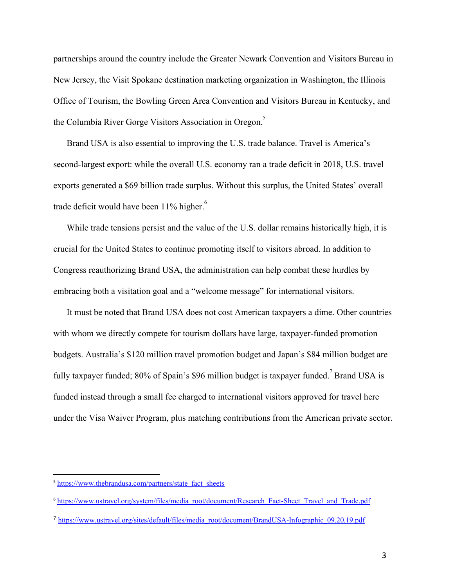partnerships around the country include the Greater Newark Convention and Visitors Bureau in New Jersey, the Visit Spokane destination marketing organization in Washington, the Illinois Office of Tourism, the Bowling Green Area Convention and Visitors Bureau in Kentucky, and the Columbia River Gorge Visitors Association in Oregon.<sup>5</sup>

Brand USA is also essential to improving the U.S. trade balance. Travel is America's second-largest export: while the overall U.S. economy ran a trade deficit in 2018, U.S. travel exports generated a \$69 billion trade surplus. Without this surplus, the United States' overall trade deficit would have been 11% higher.<sup>6</sup>

While trade tensions persist and the value of the U.S. dollar remains historically high, it is crucial for the United States to continue promoting itself to visitors abroad. In addition to Congress reauthorizing Brand USA, the administration can help combat these hurdles by embracing both a visitation goal and a "welcome message" for international visitors.

It must be noted that Brand USA does not cost American taxpayers a dime. Other countries with whom we directly compete for tourism dollars have large, taxpayer-funded promotion budgets. Australia's \$120 million travel promotion budget and Japan's \$84 million budget are fully taxpayer funded;  $80\%$  of Spain's \$96 million budget is taxpayer funded.<sup>7</sup> Brand USA is funded instead through a small fee charged to international visitors approved for travel here under the Visa Waiver Program, plus matching contributions from the American private sector.

<sup>&</sup>lt;sup>5</sup> [https://www.thebrandusa.com/partners/state\\_fact\\_sheets](https://www.thebrandusa.com/partners/state_fact_sheets)

<sup>6</sup> [https://www.ustravel.org/system/files/media\\_root/document/Research\\_Fact-Sheet\\_Travel\\_and\\_Trade.pdf](https://www.ustravel.org/system/files/media_root/document/Research_Fact-Sheet_Travel_and_Trade.pdf)

<sup>7</sup> [https://www.ustravel.org/sites/default/files/media\\_root/document/BrandUSA-Infographic\\_09.20.19.pdf](https://www.ustravel.org/sites/default/files/media_root/document/BrandUSA-Infographic_09.20.19.pdf)